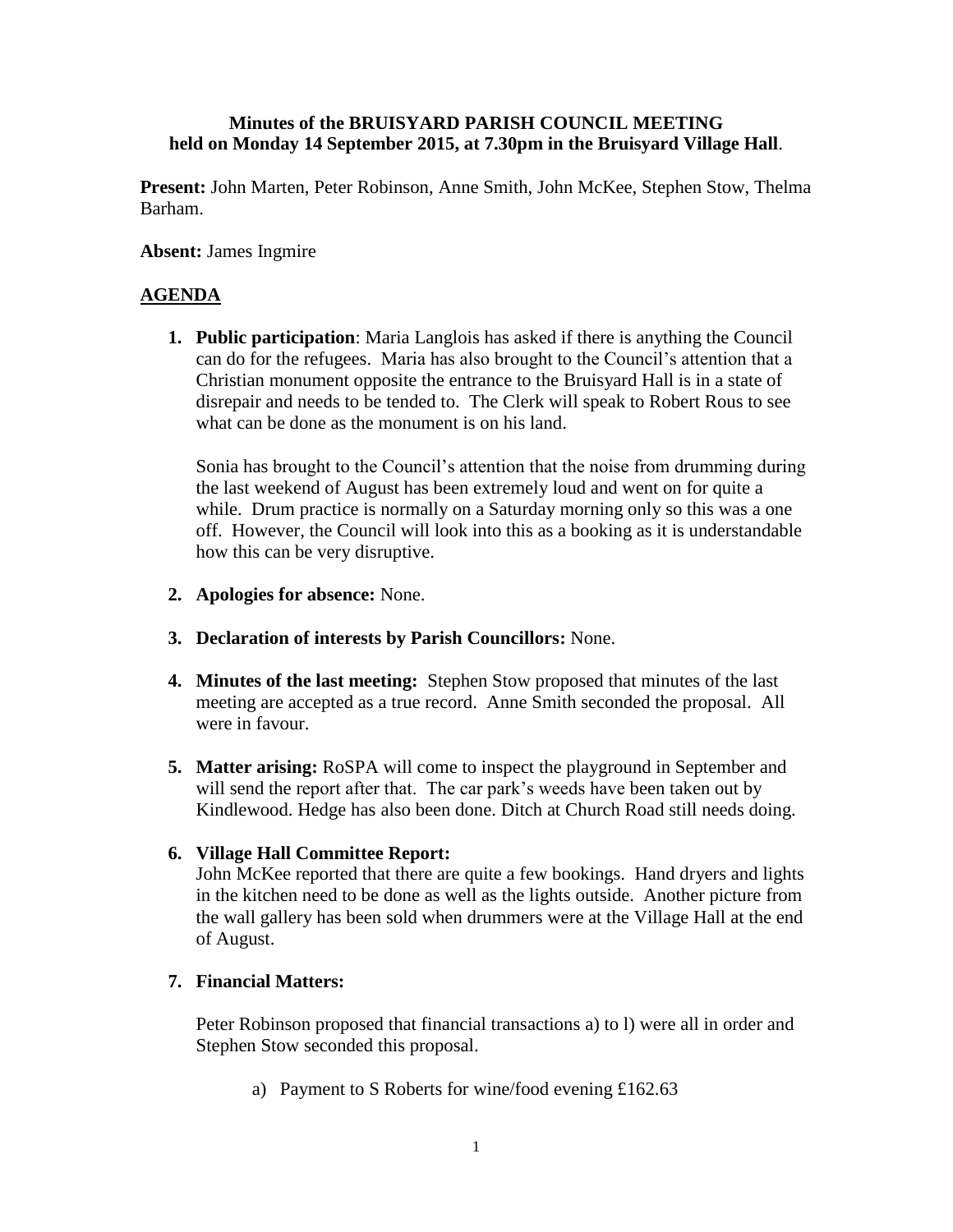# **Minutes of the BRUISYARD PARISH COUNCIL MEETING held on Monday 14 September 2015, at 7.30pm in the Bruisyard Village Hall**.

**Present:** John Marten, Peter Robinson, Anne Smith, John McKee, Stephen Stow, Thelma Barham.

# **Absent:** James Ingmire

# **AGENDA**

**1. Public participation**: Maria Langlois has asked if there is anything the Council can do for the refugees. Maria has also brought to the Council's attention that a Christian monument opposite the entrance to the Bruisyard Hall is in a state of disrepair and needs to be tended to. The Clerk will speak to Robert Rous to see what can be done as the monument is on his land.

Sonia has brought to the Council's attention that the noise from drumming during the last weekend of August has been extremely loud and went on for quite a while. Drum practice is normally on a Saturday morning only so this was a one off. However, the Council will look into this as a booking as it is understandable how this can be very disruptive.

- **2. Apologies for absence:** None.
- **3. Declaration of interests by Parish Councillors:** None.
- **4. Minutes of the last meeting:** Stephen Stow proposed that minutes of the last meeting are accepted as a true record. Anne Smith seconded the proposal. All were in favour.
- **5. Matter arising:** RoSPA will come to inspect the playground in September and will send the report after that. The car park's weeds have been taken out by Kindlewood. Hedge has also been done. Ditch at Church Road still needs doing.

### **6. Village Hall Committee Report:**

John McKee reported that there are quite a few bookings. Hand dryers and lights in the kitchen need to be done as well as the lights outside. Another picture from the wall gallery has been sold when drummers were at the Village Hall at the end of August.

### **7. Financial Matters:**

Peter Robinson proposed that financial transactions a) to l) were all in order and Stephen Stow seconded this proposal.

a) Payment to S Roberts for wine/food evening £162.63